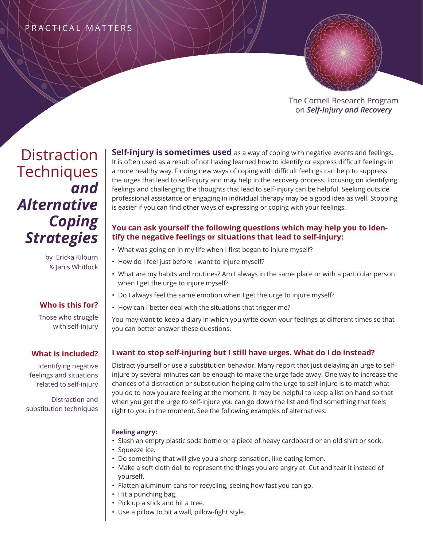# PRACTICAL MATTERS



The Cornell Research Program on Self-Injury and Recovery

# **Distraction Techniques** *and Alternative Coping Strategies*

**Self-injury is sometimes used** as a way of coping with negative events and feelings. It is often used as a result of not having learned how to identify or express difficult feelings in a more healthy way. Finding new ways of coping with difficult feelings can help to suppress the urges that lead to self-injury and may help in the recovery process. Focusing on identifying feelings and challenging the thoughts that lead to self-injury can be helpful. Seeking outside professional assistance or engaging in individual therapy may be a good idea as well. Stopping is easier if you can find other ways of expressing or coping with your feelings.

# **You can ask yourself the following questions which may help you to identify the negative feelings or situations that lead to self-injury:**

by Ericka Kilburn & Janis Whitlock

# **Who is this for?**

Those who struggle with self-injury

# **What is included?**

Identifying negative feelings and situations related to self-injury

Distraction and substitution techniques

- 
- What was going on in my life when I first began to injure myself?
- How do I feel just before I want to injure myself?
- What are my habits and routines? Am I always in the same place or with a particular person when I get the urge to injure myself?
- Do I always feel the same emotion when I get the urge to injure myself?
- How can I better deal with the situations that trigger me?

You may want to keep a diary in which you write down your feelings at different times so that you can better answer these questions.

# **I want to stop self-injuring but I still have urges. What do I do instead?**

Distract yourself or use a substitution behavior. Many report that just delaying an urge to selfinjure by several minutes can be enough to make the urge fade away. One way to increase the chances of a distraction or substitution helping calm the urge to self-injure is to match what you do to how you are feeling at the moment. It may be helpful to keep a list on hand so that when you get the urge to self-injure you can go down the list and find something that feels right to you in the moment. See the following examples of alternatives.

## **Feeling angry:**

- Slash an empty plastic soda bottle or a piece of heavy cardboard or an old shirt or sock.
- Squeeze ice.
- Do something that will give you a sharp sensation, like eating lemon.
- Make a soft cloth doll to represent the things you are angry at. Cut and tear it instead of yourself.
- Flatten aluminum cans for recycling, seeing how fast you can go.
- Hit a punching bag.
- Pick up a stick and hit a tree.
- Use a pillow to hit a wall, pillow-fight style.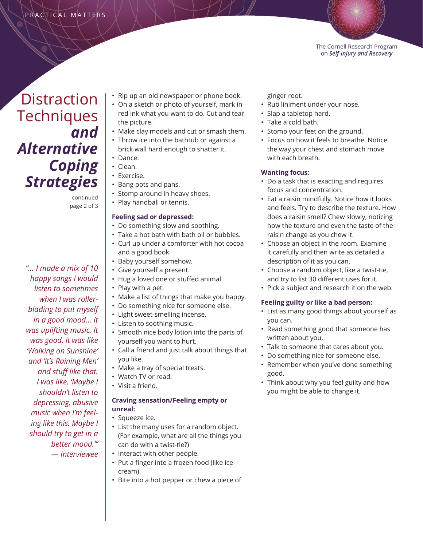

**Distraction Techniques** *and Alternative Coping Strategies*

> continued page 2 of 3

*"… I made a mix of 10 happy songs I would listen to sometimes when I was rollerblading to put myself in a good mood… It was uplifting music. It was good. It was like 'Walking on Sunshine' and 'It's Raining Men' and stuff like that. I was like, 'Maybe I shouldn't listen to depressing, abusive music when I'm feeling like this. Maybe I should try to get in a better mood.'" — Interviewee*

- Rip up an old newspaper or phone book.
- On a sketch or photo of yourself, mark in red ink what you want to do. Cut and tear the picture.
- Make clay models and cut or smash them.
- Throw ice into the bathtub or against a brick wall hard enough to shatter it.
- Dance.
- Clean.
- Exercise.
- Bang pots and pans.
- Stomp around in heavy shoes.
- Play handball or tennis.

#### **Feeling sad or depressed:**

- Do something slow and soothing.
- Take a hot bath with bath oil or bubbles.
- Curl up under a comforter with hot cocoa and a good book.
- Baby yourself somehow.
- Give yourself a present.
- Hug a loved one or stuffed animal.
- Play with a pet.
- Make a list of things that make you happy.
- Do something nice for someone else.
- Light sweet-smelling incense.
- Listen to soothing music.
- Smooth nice body lotion into the parts of yourself you want to hurt.
- Call a friend and just talk about things that you like.
- Make a tray of special treats.
- Watch TV or read.
- Visit a friend.

### **Craving sensation/Feeling empty or unreal:**

- Squeeze ice.
- List the many uses for a random object. (For example, what are all the things you can do with a twist-tie?)
- Interact with other people.
	- Put a finger into a frozen food (like ice cream).
	- Bite into a hot pepper or chew a piece of

ginger root.

- Rub liniment under your nose.
- Slap a tabletop hard.
- Take a cold bath.
- Stomp your feet on the ground.
- Focus on how it feels to breathe. Notice the way your chest and stomach move with each breath.

### **Wanting focus:**

- Do a task that is exacting and requires focus and concentration.
- Eat a raisin mindfully. Notice how it looks and feels. Try to describe the texture. How does a raisin smell? Chew slowly, noticing how the texture and even the taste of the raisin change as you chew it.
- Choose an object in the room. Examine it carefully and then write as detailed a description of it as you can.
- Choose a random object, like a twist-tie, and try to list 30 different uses for it.
- Pick a subject and research it on the web.

### **Feeling guilty or like a bad person:**

- List as many good things about yourself as you can.
- Read something good that someone has written about you.
- Talk to someone that cares about you.
- Do something nice for someone else.
- Remember when you've done something good.
- Think about why you feel guilty and how you might be able to change it.